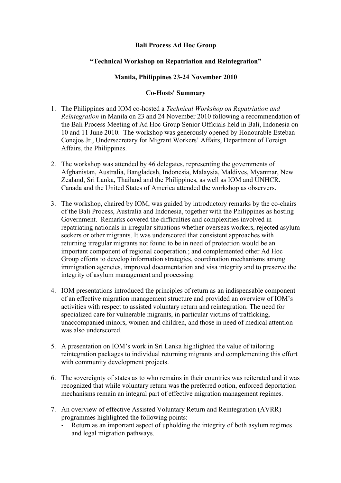## **Bali Process Ad Hoc Group**

## **"Technical Workshop on Repatriation and Reintegration"**

## **Manila, Philippines 23-24 November 2010**

## **Co-Hosts' Summary**

- 1. The Philippines and IOM co-hosted a *Technical Workshop on Repatriation and Reintegration* in Manila on 23 and 24 November 2010 following a recommendation of the Bali Process Meeting of Ad Hoc Group Senior Officials held in Bali, Indonesia on 10 and 11 June 2010. The workshop was generously opened by Honourable Esteban Conejos Jr., Undersecretary for Migrant Workers' Affairs, Department of Foreign Affairs, the Philippines.
- 2. The workshop was attended by 46 delegates, representing the governments of Afghanistan, Australia, Bangladesh, Indonesia, Malaysia, Maldives, Myanmar, New Zealand, Sri Lanka, Thailand and the Philippines, as well as IOM and UNHCR. Canada and the United States of America attended the workshop as observers.
- 3. The workshop, chaired by IOM, was guided by introductory remarks by the co-chairs of the Bali Process, Australia and Indonesia, together with the Philippines as hosting Government. Remarks covered the difficulties and complexities involved in repatriating nationals in irregular situations whether overseas workers, rejected asylum seekers or other migrants. It was underscored that consistent approaches with returning irregular migrants not found to be in need of protection would be an important component of regional cooperation.; and complemented other Ad Hoc Group efforts to develop information strategies, coordination mechanisms among immigration agencies, improved documentation and visa integrity and to preserve the integrity of asylum management and processing.
- 4. IOM presentations introduced the principles of return as an indispensable component of an effective migration management structure and provided an overview of IOM's activities with respect to assisted voluntary return and reintegration. The need for specialized care for vulnerable migrants, in particular victims of trafficking, unaccompanied minors, women and children, and those in need of medical attention was also underscored.
- 5. A presentation on IOM's work in Sri Lanka highlighted the value of tailoring reintegration packages to individual returning migrants and complementing this effort with community development projects.
- 6. The sovereignty of states as to who remains in their countries was reiterated and it was recognized that while voluntary return was the preferred option, enforced deportation mechanisms remain an integral part of effective migration management regimes.
- 7. An overview of effective Assisted Voluntary Return and Reintegration (AVRR) programmes highlighted the following points:
	- Return as an important aspect of upholding the integrity of both asylum regimes and legal migration pathways.